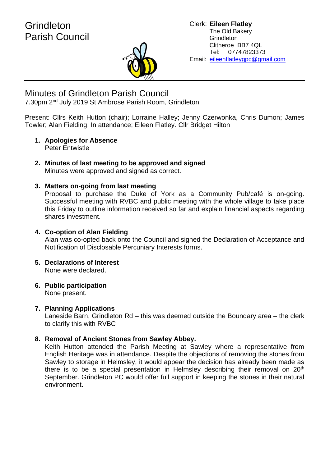

# Minutes of Grindleton Parish Council

7.30pm 2<sup>nd</sup> July 2019 St Ambrose Parish Room, Grindleton

Present: Cllrs Keith Hutton (chair); Lorraine Halley; Jenny Czerwonka, Chris Dumon; James Towler; Alan Fielding. In attendance; Eileen Flatley. Cllr Bridget Hilton

- **1. Apologies for Absence** Peter Entwistle
- **2. Minutes of last meeting to be approved and signed** Minutes were approved and signed as correct.

## **3. Matters on-going from last meeting**

Proposal to purchase the Duke of York as a Community Pub/café is on-going. Successful meeting with RVBC and public meeting with the whole village to take place this Friday to outline information received so far and explain financial aspects regarding shares investment.

## **4. Co-option of Alan Fielding** Alan was co-opted back onto the Council and signed the Declaration of Acceptance and Notification of Disclosable Percuniary Interests forms.

- **5. Declarations of Interest** None were declared.
- **6. Public participation**

None present.

## **7. Planning Applications**

Laneside Barn, Grindleton Rd – this was deemed outside the Boundary area – the clerk to clarify this with RVBC

## **8. Removal of Ancient Stones from Sawley Abbey.**

Keith Hutton attended the Parish Meeting at Sawley where a representative from English Heritage was in attendance. Despite the objections of removing the stones from Sawley to storage in Helmsley, it would appear the decision has already been made as there is to be a special presentation in Helmsley describing their removal on 20<sup>th</sup> September. Grindleton PC would offer full support in keeping the stones in their natural environment.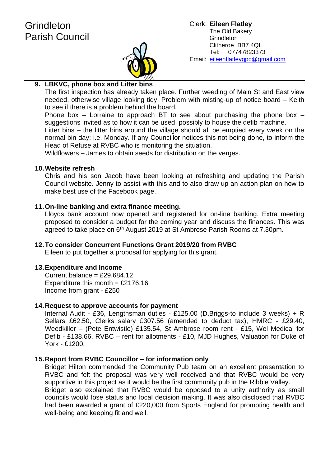

## **9. LBKVC, phone box and Litter bins**

The first inspection has already taken place. Further weeding of Main St and East view needed, otherwise village looking tidy. Problem with misting-up of notice board – Keith to see if there is a problem behind the board.

Phone box – Lorraine to approach BT to see about purchasing the phone box – suggestions invited as to how it can be used, possibly to house the defib machine.

Litter bins – the litter bins around the village should all be emptied every week on the normal bin day; i.e. Monday. If any Councillor notices this not being done, to inform the Head of Refuse at RVBC who is monitoring the situation.

Wildflowers – James to obtain seeds for distribution on the verges.

### **10.Website refresh**

Chris and his son Jacob have been looking at refreshing and updating the Parish Council website. Jenny to assist with this and to also draw up an action plan on how to make best use of the Facebook page.

## **11.On-line banking and extra finance meeting.**

Lloyds bank account now opened and registered for on-line banking. Extra meeting proposed to consider a budget for the coming year and discuss the finances. This was agreed to take place on 6<sup>th</sup> August 2019 at St Ambrose Parish Rooms at 7.30pm.

## **12.To consider Concurrent Functions Grant 2019/20 from RVBC**

Eileen to put together a proposal for applying for this grant.

#### **13.Expenditure and Income**

Current balance =  $£29,684.12$ Expenditure this month =  $£2176.16$ Income from grant - £250

#### **14.Request to approve accounts for payment**

Internal Audit - £36, Lengthsman duties - £125.00 (D.Briggs-to include 3 weeks) + R Sellars £62.50, Clerks salary £307.56 (amended to deduct tax), HMRC - £29.40, Weedkiller – (Pete Entwistle) £135.54, St Ambrose room rent - £15, Wel Medical for Defib - £138.66, RVBC – rent for allotments - £10, MJD Hughes, Valuation for Duke of York - £1200.

#### **15.Report from RVBC Councillor – for information only**

Bridget Hilton commended the Community Pub team on an excellent presentation to RVBC and felt the proposal was very well received and that RVBC would be very supportive in this project as it would be the first community pub in the Ribble Valley. Bridget also explained that RVBC would be opposed to a unity authority as small councils would lose status and local decision making. It was also disclosed that RVBC had been awarded a grant of £220,000 from Sports England for promoting health and well-being and keeping fit and well.